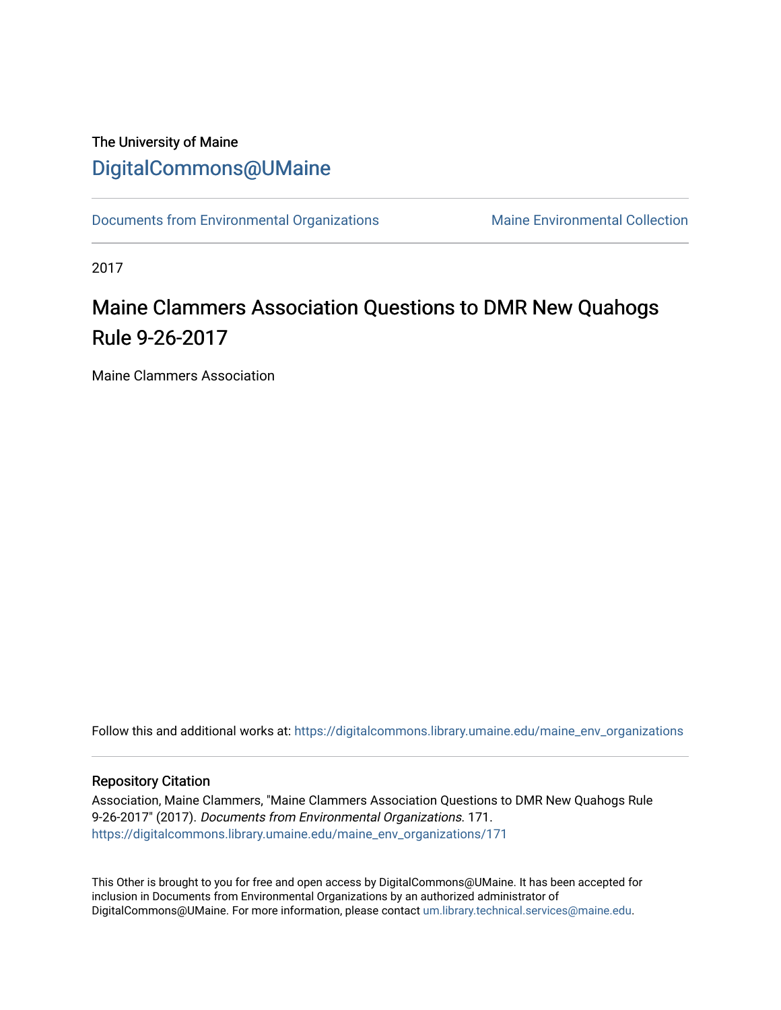## The University of Maine [DigitalCommons@UMaine](https://digitalcommons.library.umaine.edu/)

[Documents from Environmental Organizations](https://digitalcommons.library.umaine.edu/maine_env_organizations) Maine Environmental Collection

2017

## Maine Clammers Association Questions to DMR New Quahogs Rule 9-26-2017

Maine Clammers Association

Follow this and additional works at: [https://digitalcommons.library.umaine.edu/maine\\_env\\_organizations](https://digitalcommons.library.umaine.edu/maine_env_organizations?utm_source=digitalcommons.library.umaine.edu%2Fmaine_env_organizations%2F171&utm_medium=PDF&utm_campaign=PDFCoverPages)

#### Repository Citation

Association, Maine Clammers, "Maine Clammers Association Questions to DMR New Quahogs Rule 9-26-2017" (2017). Documents from Environmental Organizations. 171. [https://digitalcommons.library.umaine.edu/maine\\_env\\_organizations/171](https://digitalcommons.library.umaine.edu/maine_env_organizations/171?utm_source=digitalcommons.library.umaine.edu%2Fmaine_env_organizations%2F171&utm_medium=PDF&utm_campaign=PDFCoverPages)

This Other is brought to you for free and open access by DigitalCommons@UMaine. It has been accepted for inclusion in Documents from Environmental Organizations by an authorized administrator of DigitalCommons@UMaine. For more information, please contact [um.library.technical.services@maine.edu](mailto:um.library.technical.services@maine.edu).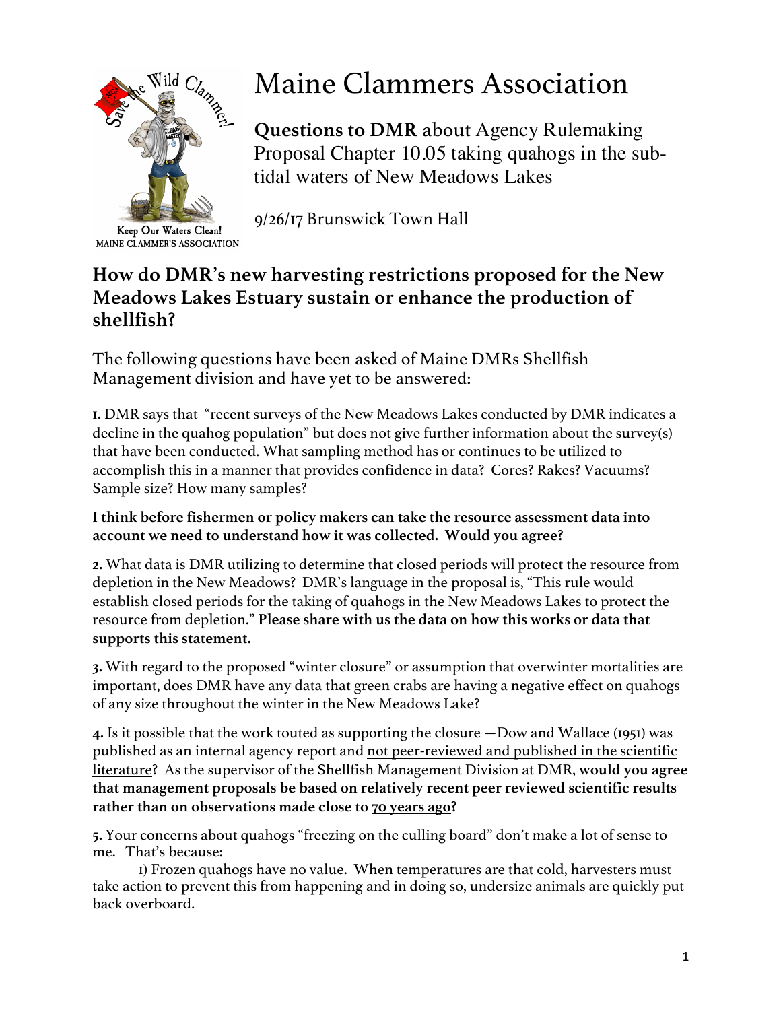

Keep Our Waters Clean! MAINE CLAMMER'S ASSOCIATION

# Maine Clammers Association

**Questions to DMR** about Agency Rulemaking Proposal Chapter 10.05 taking quahogs in the subtidal waters of New Meadows Lakes

9/26/17 Brunswick Town Hall

## **How do DMR's new harvesting restrictions proposed for the New Meadows Lakes Estuary sustain or enhance the production of shellfish?**

The following questions have been asked of Maine DMRs Shellfish Management division and have yet to be answered:

**1.** DMR says that "recent surveys of the New Meadows Lakes conducted by DMR indicates a decline in the quahog population" but does not give further information about the survey(s) that have been conducted. What sampling method has or continues to be utilized to accomplish this in a manner that provides confidence in data? Cores? Rakes? Vacuums? Sample size? How many samples?

### **I think before fishermen or policy makers can take the resource assessment data into account we need to understand how it was collected. Would you agree?**

**2.** What data is DMR utilizing to determine that closed periods will protect the resource from depletion in the New Meadows? DMR's language in the proposal is, "This rule would establish closed periods for the taking of quahogs in the New Meadows Lakes to protect the resource from depletion." **Please share with us the data on how this works or data that supports this statement.** 

**3.** With regard to the proposed "winter closure" or assumption that overwinter mortalities are important, does DMR have any data that green crabs are having a negative effect on quahogs of any size throughout the winter in the New Meadows Lake?

**4.** Is it possible that the work touted as supporting the closure —Dow and Wallace (1951) was published as an internal agency report and not peer-reviewed and published in the scientific literature? As the supervisor of the Shellfish Management Division at DMR, **would you agree that management proposals be based on relatively recent peer reviewed scientific results rather than on observations made close to 70 years ago?** 

**5.** Your concerns about quahogs "freezing on the culling board" don't make a lot of sense to me. That's because:

1) Frozen quahogs have no value. When temperatures are that cold, harvesters must take action to prevent this from happening and in doing so, undersize animals are quickly put back overboard.